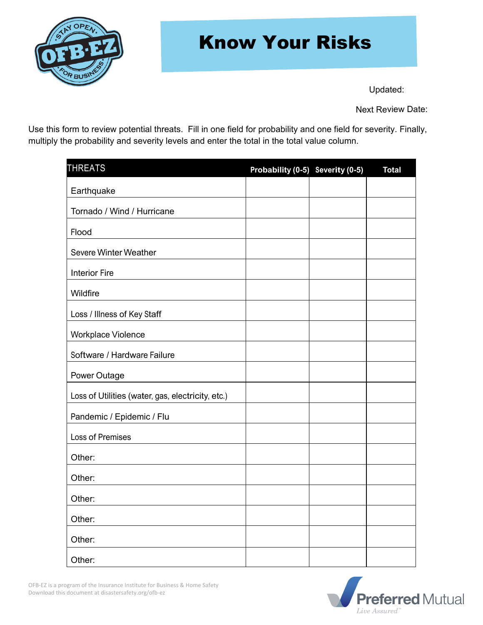

### Know Your Risks

Updated:

Next Review Date:

Use this form to review potential threats. Fill in one field for probability and one field for severity. Finally, multiply the probability and severity levels and enter the total in the total value column.

| <b>THREATS</b>                                    | Probability (0-5) Severity (0-5) | <b>Total</b> |
|---------------------------------------------------|----------------------------------|--------------|
| Earthquake                                        |                                  |              |
| Tornado / Wind / Hurricane                        |                                  |              |
| Flood                                             |                                  |              |
| Severe Winter Weather                             |                                  |              |
| <b>Interior Fire</b>                              |                                  |              |
| Wildfire                                          |                                  |              |
| Loss / Illness of Key Staff                       |                                  |              |
| Workplace Violence                                |                                  |              |
| Software / Hardware Failure                       |                                  |              |
| Power Outage                                      |                                  |              |
| Loss of Utilities (water, gas, electricity, etc.) |                                  |              |
| Pandemic / Epidemic / Flu                         |                                  |              |
| Loss of Premises                                  |                                  |              |
| Other:                                            |                                  |              |
| Other:                                            |                                  |              |
| Other:                                            |                                  |              |
| Other:                                            |                                  |              |
| Other:                                            |                                  |              |
| Other:                                            |                                  |              |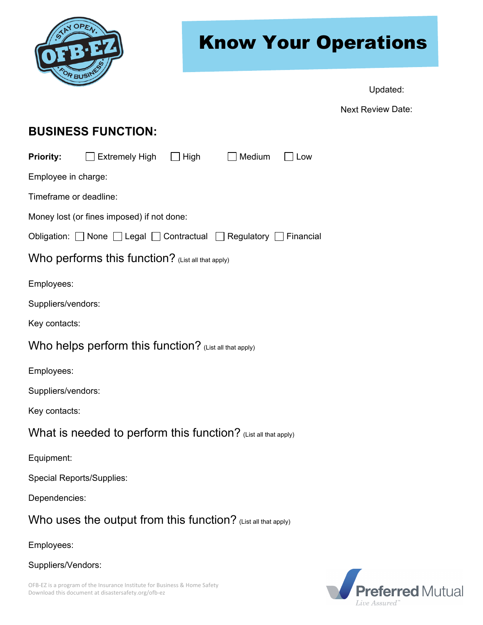

## Know Your Operations

Updated:

Next Review Date:

### **BUSINESS FUNCTION:**

| <b>Priority:</b>                                               | $\Box$ Extremely High $\Box$ High |  | $\Box$ Medium | Low |  |  |
|----------------------------------------------------------------|-----------------------------------|--|---------------|-----|--|--|
| Employee in charge:                                            |                                   |  |               |     |  |  |
| Timeframe or deadline:                                         |                                   |  |               |     |  |  |
| Money lost (or fines imposed) if not done:                     |                                   |  |               |     |  |  |
| Obligation: None Legal Contractual Regulatory Financial        |                                   |  |               |     |  |  |
| Who performs this function? (List all that apply)              |                                   |  |               |     |  |  |
| Employees:                                                     |                                   |  |               |     |  |  |
| Suppliers/vendors:                                             |                                   |  |               |     |  |  |
| Key contacts:                                                  |                                   |  |               |     |  |  |
| Who helps perform this function? (List all that apply)         |                                   |  |               |     |  |  |
| Employees:                                                     |                                   |  |               |     |  |  |
| Suppliers/vendors:                                             |                                   |  |               |     |  |  |
| Key contacts:                                                  |                                   |  |               |     |  |  |
| What is needed to perform this function? (List all that apply) |                                   |  |               |     |  |  |
| Equipment:                                                     |                                   |  |               |     |  |  |
| <b>Special Reports/Supplies:</b>                               |                                   |  |               |     |  |  |
| Dependencies:                                                  |                                   |  |               |     |  |  |
| Who uses the output from this function? (List all that apply)  |                                   |  |               |     |  |  |
| Employees:                                                     |                                   |  |               |     |  |  |



Suppliers/Vendors: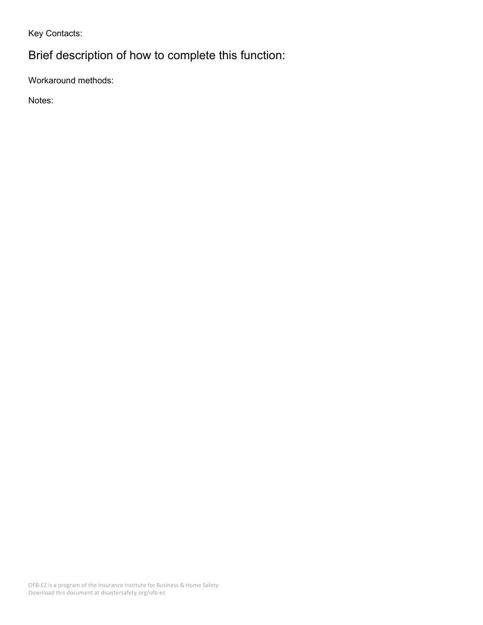Key Contacts:

### Brief description of how to complete this function:

Workaround methods:

Notes: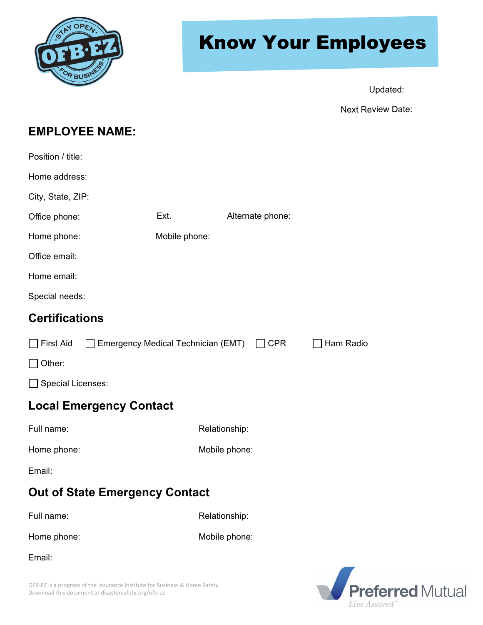

# Know Your Employees

Updated:

Next Review Date:

### **EMPLOYEE NAME:**

| Position / title:                     |                                    |                  |           |  |  |  |  |
|---------------------------------------|------------------------------------|------------------|-----------|--|--|--|--|
| Home address:                         |                                    |                  |           |  |  |  |  |
| City, State, ZIP:                     |                                    |                  |           |  |  |  |  |
| Office phone:                         | Ext.                               | Alternate phone: |           |  |  |  |  |
| Home phone:                           | Mobile phone:                      |                  |           |  |  |  |  |
| Office email:                         |                                    |                  |           |  |  |  |  |
| Home email:                           |                                    |                  |           |  |  |  |  |
| Special needs:                        |                                    |                  |           |  |  |  |  |
| <b>Certifications</b>                 |                                    |                  |           |  |  |  |  |
| First Aid                             | Emergency Medical Technician (EMT) | $\Box$ CPR       | Ham Radio |  |  |  |  |
| Other:                                |                                    |                  |           |  |  |  |  |
| Special Licenses:                     |                                    |                  |           |  |  |  |  |
| <b>Local Emergency Contact</b>        |                                    |                  |           |  |  |  |  |
| Full name:                            |                                    | Relationship:    |           |  |  |  |  |
| Home phone:                           |                                    | Mobile phone:    |           |  |  |  |  |
| Email:                                |                                    |                  |           |  |  |  |  |
| <b>Out of State Emergency Contact</b> |                                    |                  |           |  |  |  |  |
| Full name:                            |                                    | Relationship:    |           |  |  |  |  |
| Home phone:                           |                                    | Mobile phone:    |           |  |  |  |  |
| Email:                                |                                    |                  |           |  |  |  |  |

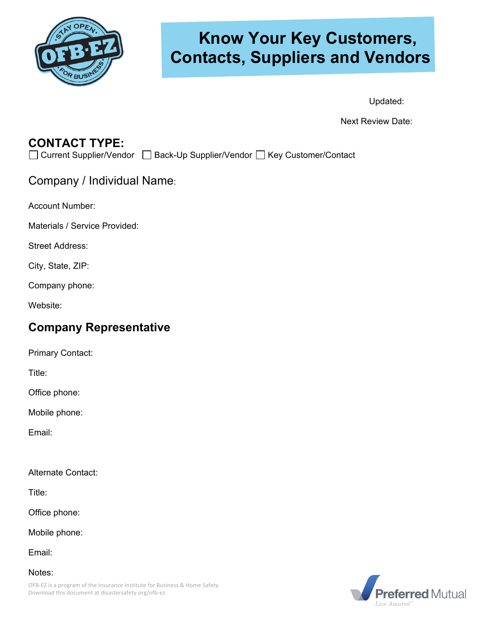

### **Know Your Key Customers, Contacts, Suppliers and Vendors**

Updated:

Next Review Date:

### **CONTACT TYPE:**

□ Current Supplier/Vendor □ Back-Up Supplier/Vendor □ Key Customer/Contact

Company / Individual Name:

Account Number:

Materials / Service Provided:

Street Address:

City, State, ZIP:

Company phone:

Website:

#### **Company Representative**

Primary Contact:

Title:

Office phone:

Mobile phone:

Email:

Alternate Contact:

Title:

Office phone:

Mobile phone:

Email:

Notes:

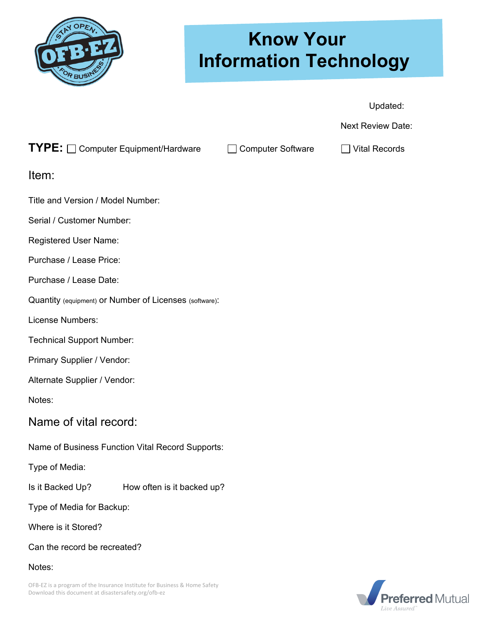

## **Know Your Information Technology**

Updated:

Next Review Date:

#### **TYPE:**  $\Box$  Computer Equipment/Hardware  $\Box$  Computer Software  $\Box$  Vital Records

Item:

Title and Version / Model Number:

Serial / Customer Number:

Registered User Name:

Purchase / Lease Price:

Purchase / Lease Date:

Quantity (equipment) or Number of Licenses (software):

License Numbers:

Technical Support Number:

Primary Supplier / Vendor:

Alternate Supplier / Vendor:

Notes:

#### Name of vital record:

Name of Business Function Vital Record Supports:

Type of Media:

Is it Backed Up? How often is it backed up?

Type of Media for Backup:

Where is it Stored?

Can the record be recreated?

Notes:

OFB-EZ is a program of the Insurance Institute for Business & Home Safety Download this document at disastersafety.org/ofb-ez

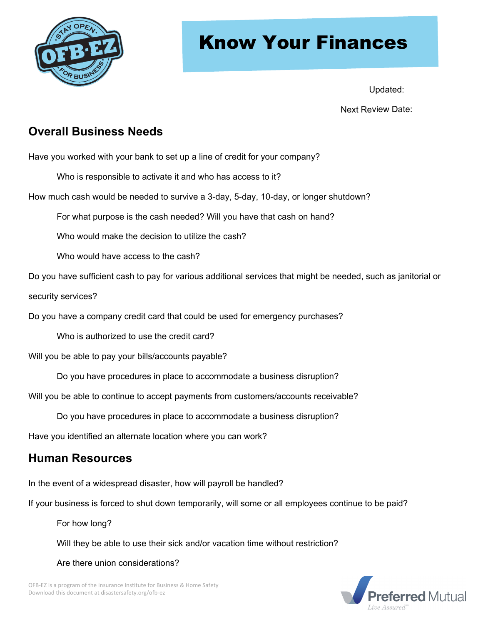

### Know Your Finances

Updated:

Next Review Date:

### **Overall Business Needs**

Have you worked with your bank to set up a line of credit for your company?

- Who is responsible to activate it and who has access to it?
- How much cash would be needed to survive a 3-day, 5-day, 10-day, or longer shutdown?

For what purpose is the cash needed? Will you have that cash on hand?

Who would make the decision to utilize the cash?

Who would have access to the cash?

Do you have sufficient cash to pay for various additional services that might be needed, such as janitorial or

security services?

Do you have a company credit card that could be used for emergency purchases?

Who is authorized to use the credit card?

Will you be able to pay your bills/accounts payable?

Do you have procedures in place to accommodate a business disruption?

Will you be able to continue to accept payments from customers/accounts receivable?

Do you have procedures in place to accommodate a business disruption?

Have you identified an alternate location where you can work?

### **Human Resources**

In the event of a widespread disaster, how will payroll be handled?

If your business is forced to shut down temporarily, will some or all employees continue to be paid?

For how long?

Will they be able to use their sick and/or vacation time without restriction?

Are there union considerations?

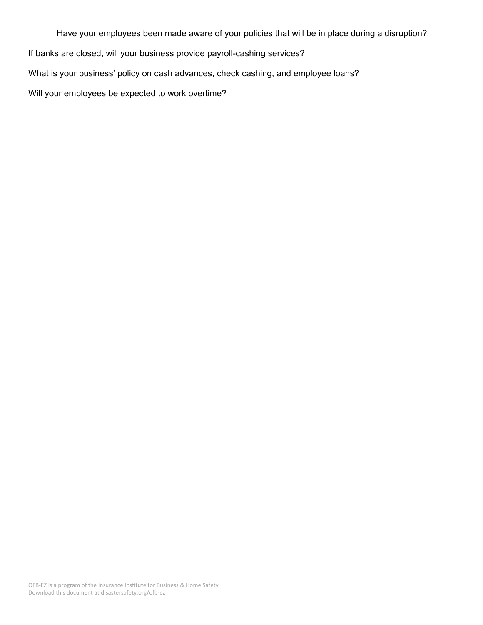Have your employees been made aware of your policies that will be in place during a disruption? If banks are closed, will your business provide payroll-cashing services? What is your business' policy on cash advances, check cashing, and employee loans? Will your employees be expected to work overtime?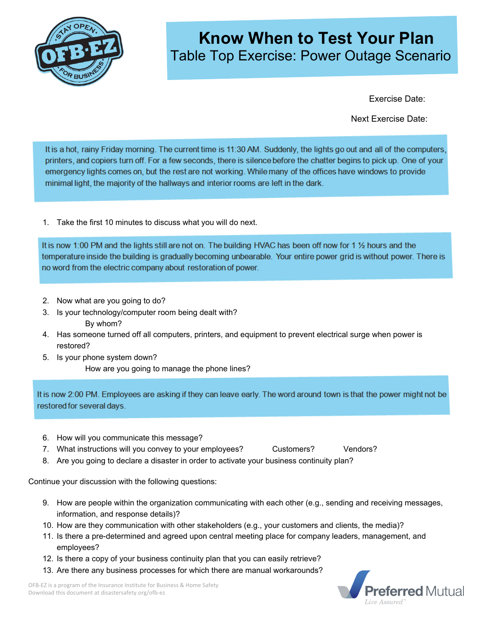

### **Know When to Test Your Plan**  Table Top Exercise: Power Outage Scenario

Exercise Date:

Next Exercise Date:

It is a hot, rainy Friday morning. The current time is 11:30 AM. Suddenly, the lights go out and all of the computers, printers, and copiers turn off. For a few seconds, there is silence before the chatter begins to pick up. One of your emergency lights comes on, but the rest are not working. While many of the offices have windows to provide minimal light, the majority of the hallways and interior rooms are left in the dark.

1. Take the first 10 minutes to discuss what you will do next.

It is now 1:00 PM and the lights still are not on. The building HVAC has been off now for 1 % hours and the temperature inside the building is gradually becoming unbearable. Your entire power grid is without power. There is no word from the electric company about restoration of power.

- 2. Now what are you going to do?
- 3. Is your technology/computer room being dealt with? By whom?
- 4. Has someone turned off all computers, printers, and equipment to prevent electrical surge when power is restored?
- 5. Is your phone system down? How are you going to manage the phone lines?

It is now 2:00 PM. Employees are asking if they can leave early. The word around town is that the power might not be restored for several days.

- 6. How will you communicate this message?
- 7. What instructions will you convey to your employees? Customers? Vendors?
- 8. Are you going to declare a disaster in order to activate your business continuity plan?

Continue your discussion with the following questions:

- 9. How are people within the organization communicating with each other (e.g., sending and receiving messages, information, and response details)?
- 10. How are they communication with other stakeholders (e.g., your customers and clients, the media)?
- 11. Is there a pre-determined and agreed upon central meeting place for company leaders, management, and employees?
- 12. Is there a copy of your business continuity plan that you can easily retrieve?
- 13. Are there any business processes for which there are manual workarounds?